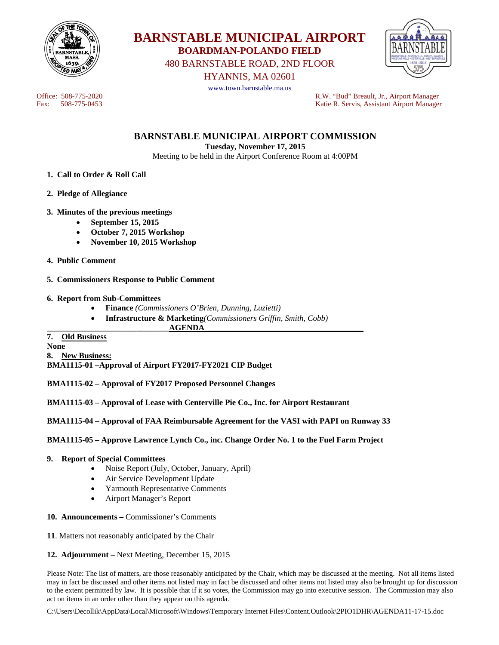



480 BARNSTABLE ROAD, 2ND FLOOR

HYANNIS, MA 02601



www.town.barnstable.ma.us

Office: 508-775-2020<br>
Fax: 508-775-0453<br>
Fax: 508-775-0453<br>
R.W. "Bud" Breault, Jr., Airport Manager Fax: 508-775-0453 Katie R. Servis, Assistant Airport Manager

**BARNSTABLE MUNICIPAL AIRPORT COMMISSION** 

**Tuesday, November 17, 2015** 

Meeting to be held in the Airport Conference Room at 4:00PM

- **1. Call to Order & Roll Call**
- **2. Pledge of Allegiance**
- **3. Minutes of the previous meetings** 
	- **September 15, 2015**
	- **October 7, 2015 Workshop**
	- **November 10, 2015 Workshop**
- **4. Public Comment**
- **5. Commissioners Response to Public Comment**
- **6. Report from Sub-Committees** 
	- **Finance** *(Commissioners O'Brien, Dunning, Luzietti)*
	- **Infrastructure & Marketing***(Commissioners Griffin, Smith, Cobb)*

 $\bf{AGENDA}$ 

# **7. Old Business**

**None 8. New Business: BMA1115-01 –Approval of Airport FY2017-FY2021 CIP Budget** 

**BMA1115-02 – Approval of FY2017 Proposed Personnel Changes** 

**BMA1115-03 – Approval of Lease with Centerville Pie Co., Inc. for Airport Restaurant** 

**BMA1115-04 – Approval of FAA Reimbursable Agreement for the VASI with PAPI on Runway 33** 

**BMA1115-05 – Approve Lawrence Lynch Co., inc. Change Order No. 1 to the Fuel Farm Project** 

#### **9. Report of Special Committees**

- Noise Report (July, October, January, April)
- Air Service Development Update
- Yarmouth Representative Comments
- Airport Manager's Report
- **10. Announcements** Commissioner's Comments
- **11**. Matters not reasonably anticipated by the Chair
- **12. Adjournment** Next Meeting, December 15, 2015

Please Note: The list of matters, are those reasonably anticipated by the Chair, which may be discussed at the meeting. Not all items listed may in fact be discussed and other items not listed may in fact be discussed and other items not listed may also be brought up for discussion to the extent permitted by law. It is possible that if it so votes, the Commission may go into executive session. The Commission may also act on items in an order other than they appear on this agenda.

C:\Users\Decollik\AppData\Local\Microsoft\Windows\Temporary Internet Files\Content.Outlook\2PIO1DHR\AGENDA11-17-15.doc